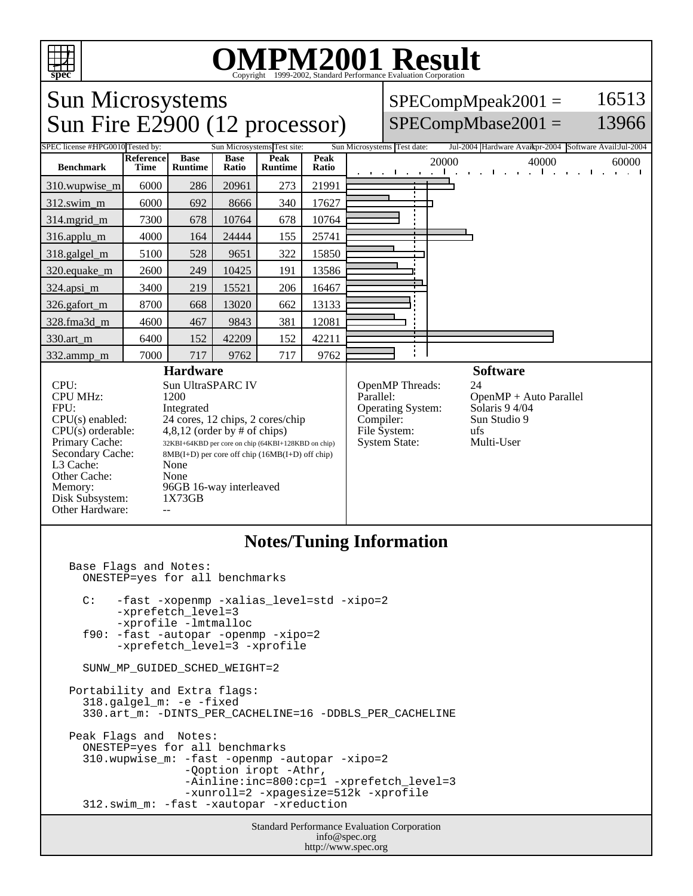

## OMPM2001 Result to Evaluation Corporation

Sun Microsystems  $SPECompMpeak2001 =$ 16513 Sun Fire E2900 (12 processor)  $SPECompMbase2001 =$ 13966 SPEC license #HPG0010 Tested by: Sun Microsystems Test site: Sun Microsystems Test date: Jul-2004 Hardware Avail: Sun Software Avail: Jul-2004 **Base Reference Base Peak Peak Peak** 20000 40000 60000 60000 **Benchmark Runtime Time Ratio Runtime** 310.wupwise\_m 6000 286 20961 273 21991 312.swim\_m 6000 692 8666 340 17627 314.mgrid\_m 7300 678 10764 678 10764 316.applu\_m | 4000 | 164 | 24444 | 155 | 25741 318.galgel\_m | 5100 | 528 | 9651 | 322 | 15850 320.equake\_m | 2600 | 249 | 10425 | 191 | 13586 324.apsi\_m 3400 219 15521 206 16467 326.gafort\_m | 8700 668 13020 662 13133 328.fma3d\_m | 4600 | 467 | 9843 | 381 | 12081 330.art\_m 6400 152 42209 152 42211 ÷ 332.ammp\_m | 7000 | 717 | 9762 | 717 | 9762 **Hardware Software** CPU: Sun UltraSPARC IV<br>CPU MHz: 1200 OpenMP Threads: 24<br>Parallel: Open CPU MHz:  $OpenMP + Auto Parallel  
Solaris 9 4/04$ FPU: Integrated Operating System:  $CPU(s)$  enabled:  $24$  cores, 12 chips, 2 cores/chip<br>CPU(s) orderable:  $4,8,12$  (order by # of chips) Compiler: Sun Studio 9 File System: ufs<br>System State: Multi-User CPU(s) orderable:  $4,8,12$  (order by # of chips)<br>Primary Cache:  $32KB1+64KBD$  per core on chip (64KBI+12) System State: Primary Cache: 32KBI+64KBD per core on chip (64KBI+128KBD on chip)<br>Secondary Cache: 8MB(I+D) per core off chip (16MB(I+D) off chip) 8MB(I+D) per core off chip (16MB(I+D) off chip) L3 Cache: None<br>Other Cache: None Other Cache: Memory: 96GB 16-way interleaved<br>Disk Subsystem: 1X73GB Disk Subsystem: Other Hardware: **Notes/Tuning Information** Base Flags and Notes: ONESTEP=yes for all benchmarks C: -fast -xopenmp -xalias\_level=std -xipo=2 -xprefetch level=3 -xprofile -lmtmalloc f90: -fast -autopar -openmp -xipo=2

SUNW MP\_GUIDED\_SCHED\_WEIGHT=2

-xprefetch\_level=3 -xprofile

Portability and Extra flags: 318.galgel\_m: -e -fixed 330.art\_m: -DINTS\_PER\_CACHELINE=16 -DDBLS\_PER\_CACHELINE Peak Flags and Notes: ONESTEP=yes for all benchmarks 310.wupwise\_m: -fast -openmp -autopar -xipo=2 -Qoption iropt -Athr, -Ainline:inc=800:cp=1 -xprefetch\_level=3 -xunroll=2 -xpagesize=512k -xprofile 312.swim\_m: -fast -xautopar -xreduction

> Standard Performance Evaluation Corporation info@spec.org http://www.spec.org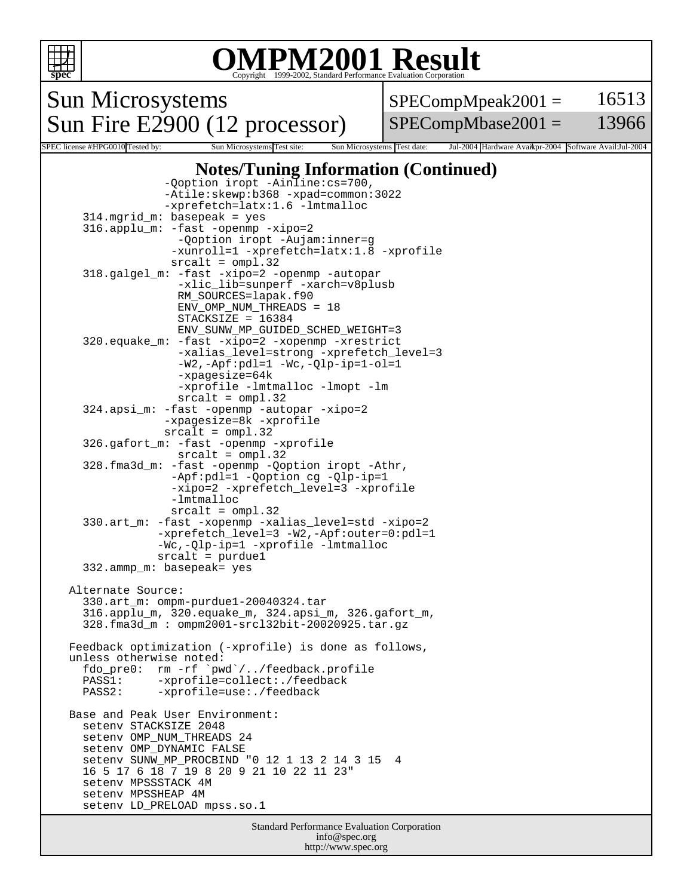